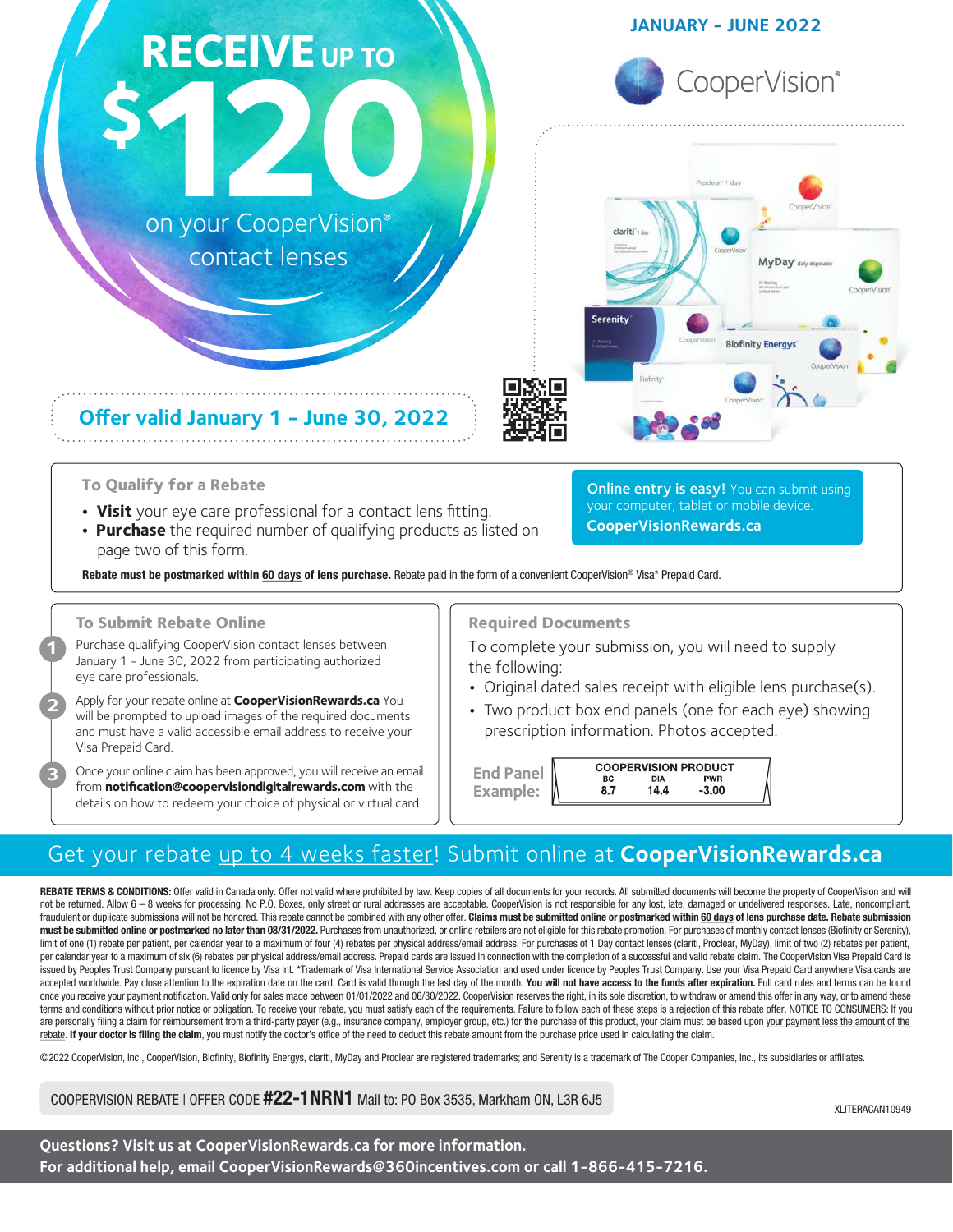# **\$120** on your CooperVision® **RECEIVE** UP TO contact lenses

## **JANUARY - JUNE 2022**





**Online entry is easy!** You can submit using your computer, tablet or mobile device.

- **To Qualify for a Rebate**
- **Visit** your eye care professional for a contact lens fitting.

**Offer valid January 1 - June 30, 2022**

**• Purchase** the required number of qualifying products as listed on page two of this form.

Rebate must be postmarked within 60 days of lens purchase. Rebate paid in the form of a convenient CooperVision® Visa\* Prepaid Card.

## **To Submit Rebate Online**

**1**

**2**

**3**

Purchase qualifying CooperVision contact lenses between January 1 - June 30, 2022 from participating authorized eye care professionals.

Apply for your rebate online at **CooperVisionRewards.ca** You will be prompted to upload images of the required documents and must have a valid accessible email address to receive your Visa Prepaid Card.

Once your online claim has been approved, you will receive an email from **notification@coopervisiondigitalrewards.com** with the details on how to redeem your choice of physical or virtual card.

**Required Documents**

To complete your submission, you will need to supply the following:

**•** Original dated sales receipt with eligible lens purchase(s).

**CooperVisionRewards.ca**

**•** Two product box end panels (one for each eye) showing prescription information. Photos accepted.

|                  | <b>COOPERVISION PRODUCT</b> |      |            |  |
|------------------|-----------------------------|------|------------|--|
| <b>End Panel</b> | ВC                          | DIA  | <b>PWR</b> |  |
| Example:         | 8.7                         | 14.4 | $-3.00$    |  |

## Get your rebate up to <sup>4</sup> weeks faster! Submit online at **CooperVisionRewards.ca**

REBATE TERMS & CONDITIONS: Offer valid in Canada only. Offer not valid where prohibited by law. Keep copies of all documents for your records. All submitted documents will become the property of CooperVision and will not be returned. Allow 6 - 8 weeks for processing. No P.O. Boxes, only street or rural addresses are acceptable. CooperVision is not responsible for any lost, late, damaged or undelivered responses. Late, noncompliant, fraudulent or duplicate submissions will not be honored. This rebate cannot be combined with any other offer. Claims must be submitted online or postmarked within 60 days of lens purchase date. Rebate submission must be submitted online or postmarked no later than 08/31/2022. Purchases from unauthorized, or online retailers are not eligible for this rebate promotion. For purchases of monthly contact lenses (Biofinity or Serenity), limit of one (1) rebate per patient, per calendar year to a maximum of four (4) rebates per physical address/email address. For purchases of 1 Day contact lenses (clariti, Proclear, MyDay), limit of two (2) rebates per pat per calendar year to a maximum of six (6) rebates per physical address/email address. Prepaid cards are issued in connection with the completion of a successful and valid rebate claim. The CooperVision Visa Prepaid Card is issued by Peoples Trust Company pursuant to licence by Visa Int. \*Trademark of Visa International Service Association and used under licence by Peoples Trust Company. Use your Visa Prepaid Card anywhere Visa cards are accepted worldwide. Pay close attention to the expiration date on the card. Card is valid through the last day of the month. You will not have access to the funds after expiration. Full card rules and terms can be found once you receive your payment notification. Valid only for sales made between 01/01/2022 and 06/30/2022. CooperVision reserves the right, in its sole discretion, to withdraw or amend this offer in any way, or to amend thes terms and conditions without prior notice or obligation. To receive your rebate, you must satisfy each of the requirements. Falure to follow each of these steps is a rejection of this rebate offer. NOTICE TO CONSUMERS: If are personally filing a claim for reimbursement from a third-party payer (e.g., insurance company, employer group, etc.) for the purchase of this product, your claim must be based upon your payment less the amount of the rebate. If your doctor is filing the claim, you must notify the doctor's office of the need to deduct this rebate amount from the purchase price used in calculating the claim.

©2022 CooperVision, Inc., CooperVision, Biofinity, Biofinity Energys, clariti, MyDay and Proclear are registered trademarks; and Serenity is a trademark of The Cooper Companies, Inc., its subsidiaries or affiliates.

## COOPERVISION REBATE | OFFER CODE #22-1NRN1 Mail to: PO Box 3535, Markham ON, L3R 6J5

XLITERACAN10949

**Questions? Visit us at CooperVisionRewards.ca for more information. For additional help, email CooperVisionRewards@360incentives.com or call 1-866-415-7216.**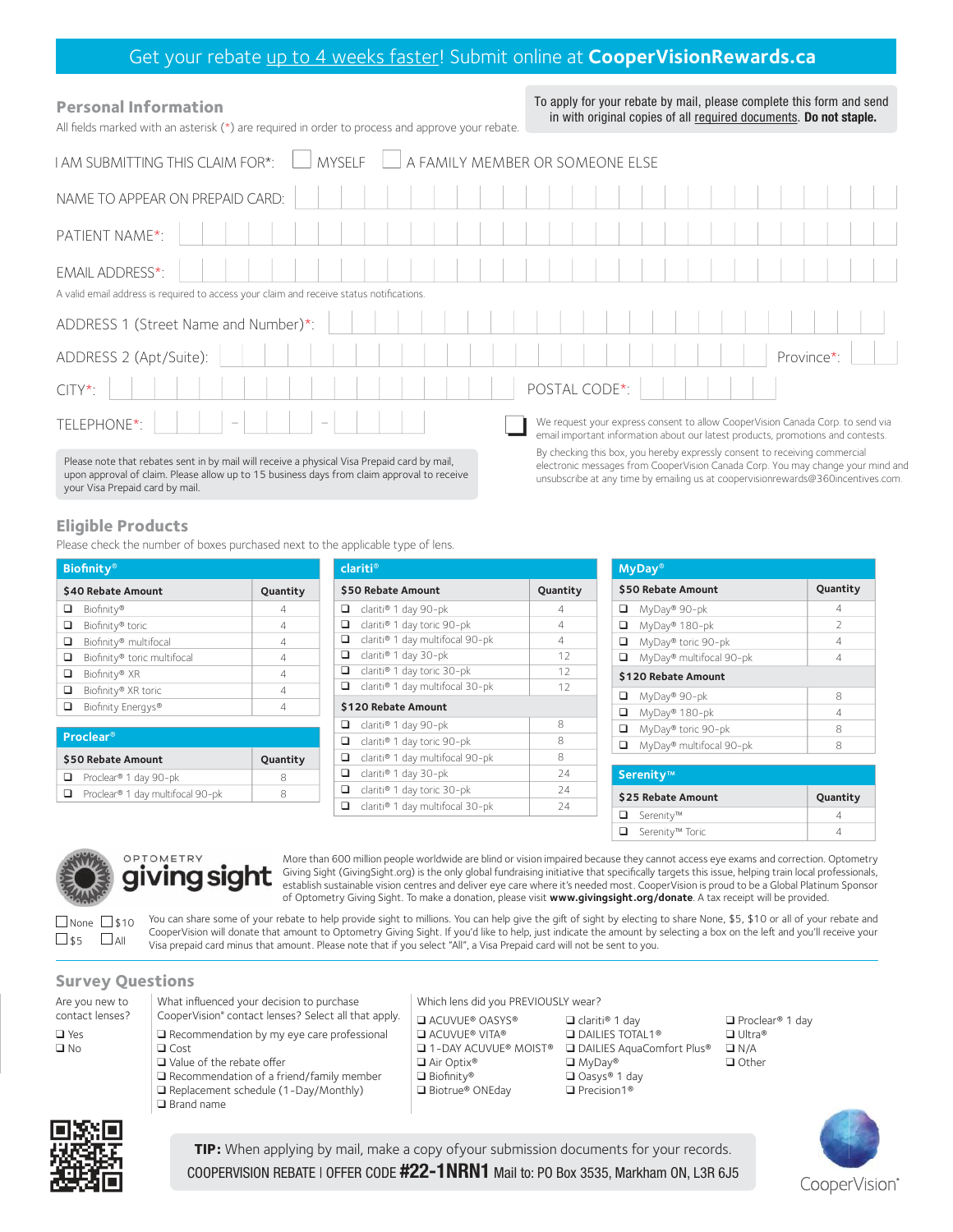## Get your rebate up to 4 weeks faster! Submit online at **CooperVisionRewards.ca**

| <b>Personal Information</b><br>All fields marked with an asterisk (*) are required in order to process and approve your rebate.                                                           | To apply for your rebate by mail, please complete this form and send<br>in with original copies of all required documents. Do not staple.                                                                                                        |
|-------------------------------------------------------------------------------------------------------------------------------------------------------------------------------------------|--------------------------------------------------------------------------------------------------------------------------------------------------------------------------------------------------------------------------------------------------|
| <b>MYSELF</b><br>I AM SUBMITTING THIS CLAIM FOR*:                                                                                                                                         | A FAMILY MEMBER OR SOMEONE ELSE                                                                                                                                                                                                                  |
| NAME TO APPEAR ON PREPAID CARD:                                                                                                                                                           |                                                                                                                                                                                                                                                  |
| PATIENT NAME*:                                                                                                                                                                            |                                                                                                                                                                                                                                                  |
| EMAIL ADDRESS*:                                                                                                                                                                           |                                                                                                                                                                                                                                                  |
| A valid email address is required to access your claim and receive status notifications.                                                                                                  |                                                                                                                                                                                                                                                  |
| ADDRESS 1 (Street Name and Number)*:                                                                                                                                                      |                                                                                                                                                                                                                                                  |
| ADDRESS 2 (Apt/Suite):                                                                                                                                                                    | Province*:                                                                                                                                                                                                                                       |
| $CITY^*$ :                                                                                                                                                                                | POSTAL CODE*:                                                                                                                                                                                                                                    |
| TELEPHONE*:                                                                                                                                                                               | We request your express consent to allow CooperVision Canada Corp. to send via<br>email important information about our latest products, promotions and contests.                                                                                |
| Please note that rebates sent in by mail will receive a physical Visa Prepaid card by mail,<br>upon approval of claim. Please allow up to 15 business days from claim approval to receive | By checking this box, you hereby expressly consent to receiving commercial<br>electronic messages from CooperVision Canada Corp. You may change your mind and<br>unsubscribe at any time by emailing us at coopervisionrewards@360incentives.com |

**Eligible Products**

your Visa Prepaid card by mail.

Please check the number of boxes purchased next to the applicable type of lens.

|   | <b>Biofinity®</b>           |          |
|---|-----------------------------|----------|
|   | \$40 Rebate Amount          | Quantity |
|   | Biofinity®                  | 4        |
| □ | Biofinity® toric            | 4        |
| □ | Biofinity® multifocal       | 4        |
| □ | Biofinity® toric multifocal | 4        |
| ப | Biofinity® XR               | 4        |
| □ | Biofinity® XR toric         | 4        |
| □ | Biofinity Energys®          | 4        |
|   |                             |          |

| <b>Proclear</b> <sup>®</sup> |                                  |          |  |
|------------------------------|----------------------------------|----------|--|
|                              | \$50 Rebate Amount               | Quantity |  |
|                              | Proclear® 1 day 90-pk            |          |  |
|                              | Proclear® 1 day multifocal 90-pk |          |  |

| clariti®                             |          |  |  |
|--------------------------------------|----------|--|--|
| \$50 Rebate Amount                   | Quantity |  |  |
| ◻<br>clariti® 1 day 90-pk            | 4        |  |  |
| clariti® 1 day toric 90-pk<br>▫      | 4        |  |  |
| □<br>clariti® 1 day multifocal 90-pk | 4        |  |  |
| o.<br>clariti® 1 day 30-pk           | 12       |  |  |
| o.<br>clariti® 1 day toric 30-pk     | 12       |  |  |
| clariti® 1 day multifocal 30-pk<br>❏ | 12       |  |  |
| \$120 Rebate Amount                  |          |  |  |
| □<br>clariti® 1 day 90-pk            | 8        |  |  |
| □<br>clariti® 1 day toric 90-pk      | 8        |  |  |
| □<br>clariti® 1 day multifocal 90-pk | 8        |  |  |
| o.<br>clariti® 1 day 30-pk           | 24       |  |  |
| ▫<br>clariti® 1 day toric 30-pk      | 74       |  |  |
| clariti® 1 day multifocal 30-pk<br>□ | 74       |  |  |

| <b>MyDay</b> <sup>®</sup> |                         |                |  |
|---------------------------|-------------------------|----------------|--|
| \$50 Rebate Amount        |                         | Quantity       |  |
| □                         | MyDay® 90-pk            | 4              |  |
| ▫                         | MyDay® 180-pk           | $\mathfrak{D}$ |  |
| ▫                         | MyDay® toric 90-pk      | 4              |  |
| ❏                         | MyDay® multifocal 90-pk | $\overline{4}$ |  |
| \$120 Rebate Amount       |                         |                |  |
| □                         | MyDay® 90-pk            | 8              |  |
| □                         | MyDay® 180-pk           | 4              |  |
| □                         | MyDay® toric 90-pk      | 8              |  |
| ப                         | MyDay® multifocal 90-pk | 8              |  |

unsubscribe at any time by emailing us at coopervisionrewards@360incentives.com.

| Serenity™                     |          |
|-------------------------------|----------|
| \$25 Rebate Amount            | Quantity |
| $\Box$ Serenity <sup>TM</sup> |          |
| □ Serenity <sup>™</sup> Toric |          |



## <u>iving sight</u>

More than 600 million people worldwide are blind or vision impaired because they cannot access eye exams and correction. Optometry Giving Sight (GivingSight.org) is the only global fundraising initiative that specifically targets this issue, helping train local professionals, establish sustainable vision centres and deliver eye care where it's needed most. CooperVision is proud to be a Global Platinum Sponsor of Optometry Giving Sight. To make a donation, please visit **www.givingsight.org/donate**. A tax receipt will be provided.

You can share some of your rebate to help provide sight to millions. You can help give the gift of sight by electing to share None, \$5, \$10 or all of your rebate and CooperVision will donate that amount to Optometry Giving Sight. If you'd like to help, just indicate the amount by selecting a box on the left and you'll receive your Visa prepaid card minus that amount. Please note that if you select "All", a Visa Prepaid card will not be sent to you.  $\Box$  None  $\Box$  \$10  $\square$  \$5  $\square$  All

## **Survey Questions**

| Are you new to  | What influenced your decision to purchase            | Which lens did you PREVIOUSLY wear?            |                                         |                                    |                         |
|-----------------|------------------------------------------------------|------------------------------------------------|-----------------------------------------|------------------------------------|-------------------------|
| contact lenses? | CooperVision® contact lenses? Select all that apply. | <b>ELACUVUE® OASYS®</b>                        | $\Box$ clariti® 1 day                   | $\Box$ Proclear <sup>®</sup> 1 day |                         |
| $\Box$ Yes      | $\Box$ Recommendation by my eye care professional    | <b>ACUVUE® VITA®</b>                           | $\Box$ DAILIES TOTAL1 <sup>®</sup>      | $\Box$ Ultra®                      |                         |
| $\square$ No    | $\Box$ Cost                                          | □ 1-DAY ACUVUE <sup>®</sup> MOIST <sup>®</sup> | □ DAILIES AquaComfort Plus <sup>®</sup> | $\Box N/A$                         |                         |
|                 | $\Box$ Value of the rebate offer                     | □ Air Optix®                                   | $\Box$ MyDay®                           | $\Box$ Other                       |                         |
|                 | $\Box$ Recommendation of a friend/family member      | $\Box$ Biofinity®                              | $\Box$ Oasys® 1 day                     |                                    |                         |
|                 | $\Box$ Replacement schedule (1-Day/Monthly)          | □ Biotrue® ONEday                              | $\Box$ Precision1 <sup>®</sup>          |                                    |                         |
|                 | $\Box$ Brand name                                    |                                                |                                         |                                    | <b>ANGELINE COMPANY</b> |



**TIP:** When applying by mail, make a copy of your submission documents for your records. COOPERVISION REBATE I OFFER CODE #22-1NRN1 Mail to: PO Box 3535, Markham ON, L3R 6J5

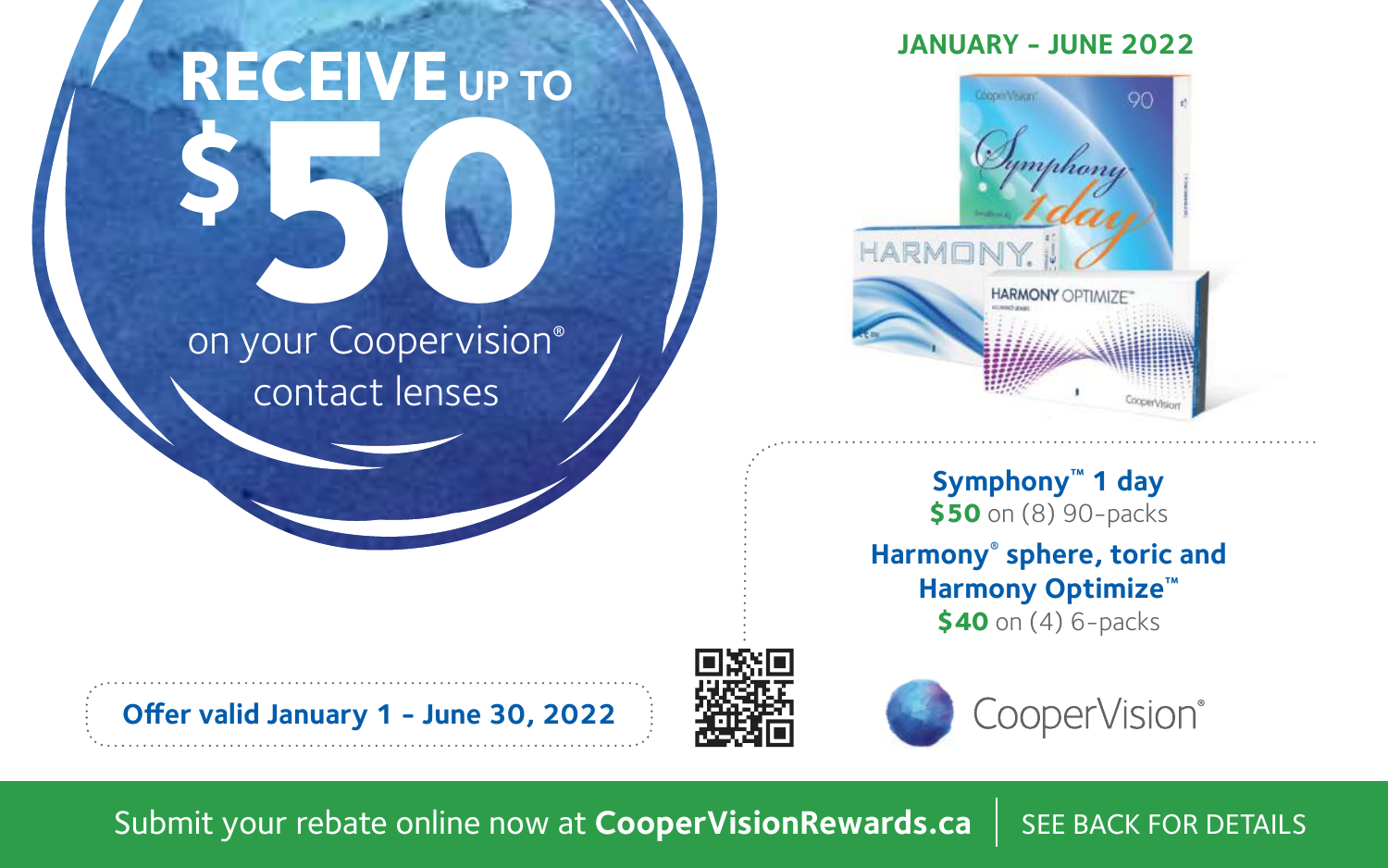# **\$50** on your Coopervision® **RECEIVE** UP TO

## contact lenses

## **JANUARY - JUNE 2022**



**Symphony™ 1 day \$50** on (8) 90-packs **Harmony® sphere, toric and Harmony Optimize™ \$40** on (4) 6-packs

**Offer valid January 1 - June 30, 2022**





Submit your rebate online now at **CooperVisionRewards.ca** | SEE BACK FOR DETAILS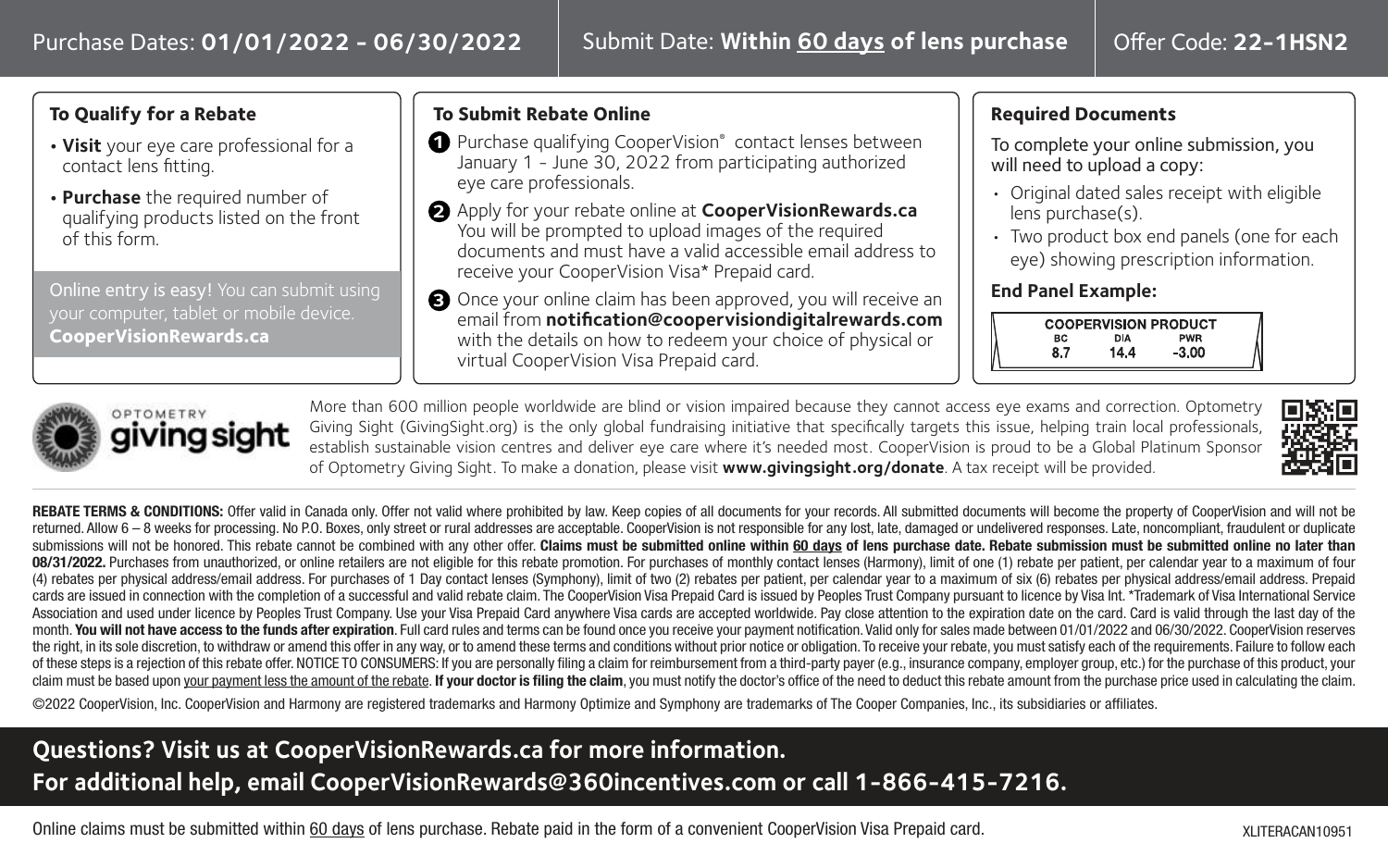## **To Qualify for a Rebate**

- **Visit** your eye care professional for a contact lens fitting.
- **Purchase** the required number of qualifying products listed on the front of this form.

Online entry is easy! You can submit using your computer, tablet or mobile device. **CooperVisionRewards.ca**

## **To Submit Rebate Online**

- **1** Purchase qualifying CooperVision® contact lenses between January 1 - June 30, 2022 from participating authorized eye care professionals.
- Apply for your rebate online at **CooperVisionRewards.ca 2** You will be prompted to upload images of the required documents and must have a valid accessible email address to receive your CooperVision Visa\* Prepaid card.
- Once your online claim has been approved, you will receive an **3** email from **notification@coopervisiondigitalrewards.com** with the details on how to redeem your choice of physical or virtual CooperVision Visa Prepaid card.

## **Required Documents**

To complete your online submission, you will need to upload a copy:

- Original dated sales receipt with eligible lens purchase(s).
- Two product box end panels (one for each eye) showing prescription information.

#### **End Panel Example:**





More than 600 million people worldwide are blind or vision impaired because they cannot access eye exams and correction. Optometry Giving Sight (GivingSight.org) is the only global fundraising initiative that specifically targets this issue, helping train local professionals, establish sustainable vision centres and deliver eye care where it's needed most. CooperVision is proud to be a Global Platinum Sponsor of Optometry Giving Sight. To make a donation, please visit **www.givingsight.org/donate**. A tax receipt will be provided.



REBATE TERMS & CONDITIONS: Offer valid in Canada only. Offer not valid where prohibited by law. Keep copies of all documents for your records. All submitted documents will become the property of CooperVision and will not b returned. Allow 6 - 8 weeks for processing, No P.O. Boxes, only street or rural addresses are acceptable. CooperVision is not responsible for any lost, late, damaged or undelivered responses. Late, poncompliant, fraudulent submissions will not be honored. This rebate cannot be combined with any other offer. **Claims must be submitted online within 60 days of lens purchase date. Rebate submission must be submitted online no later than** 08/31/2022. Purchases from unauthorized, or online retailers are not eligible for this rebate promotion. For purchases of monthly contact lenses (Harmony), limit of one (1) rebate per patient, per calendar year to a maximu (4) rebates per physical address/email address. For purchases of 1 Day contact lenses (Symphony), limit of two (2) rebates per patient, per calendar year to a maximum of six (6) rebates per physical address/email address. cards are issued in connection with the completion of a successful and valid rebate claim. The CooperVision Visa Prepaid Card is issued by Peoples Trust Company pursuant to licence by Visa Int. \*Trademark of Visa Internati Association and used under licence by Peoples Trust Company. Use your Visa Prepaid Card anywhere Visa cards are accepted worldwide. Pay close attention to the expiration date on the card. Card is valid through the last day month. You will not have access to the funds after expiration. Full card rules and terms can be found once you receive your payment notification. Valid only for sales made between 01/01/2022 and 06/30/2022. CooperVision re the right, in its sole discretion, to withdraw or amend this offer in any way, or to amend these terms and conditions without prior notice or obligation. To receive your rebate, you must satisfy each of the requirements. F of these steps is a rejection of this rebate offer. NOTICE TO CONSUMERS: If you are personally filing a claim for reimbursement from a third-party payer (e.g., insurance company, employer group, etc.) for the purchase of t claim must be based upon your payment less the amount of the rebate. If your doctor is filing the claim, you must notify the doctor's office of the need to deduct this rebate amount from the purchase price used in calculat

©2022 CooperVision, Inc. CooperVision and Harmony are registered trademarks and Harmony Optimize and Symphony are trademarks of The Cooper Companies, Inc., its subsidiaries or affiliates.

## **Questions? Visit us at CooperVisionRewards.ca for more information. For additional help, email CooperVisionRewards@360incentives.com or call 1-866-415-7216.**

Online claims must be submitted within 60 days of lens purchase. Rebate paid in the form of a convenient CooperVision Visa Prepaid card.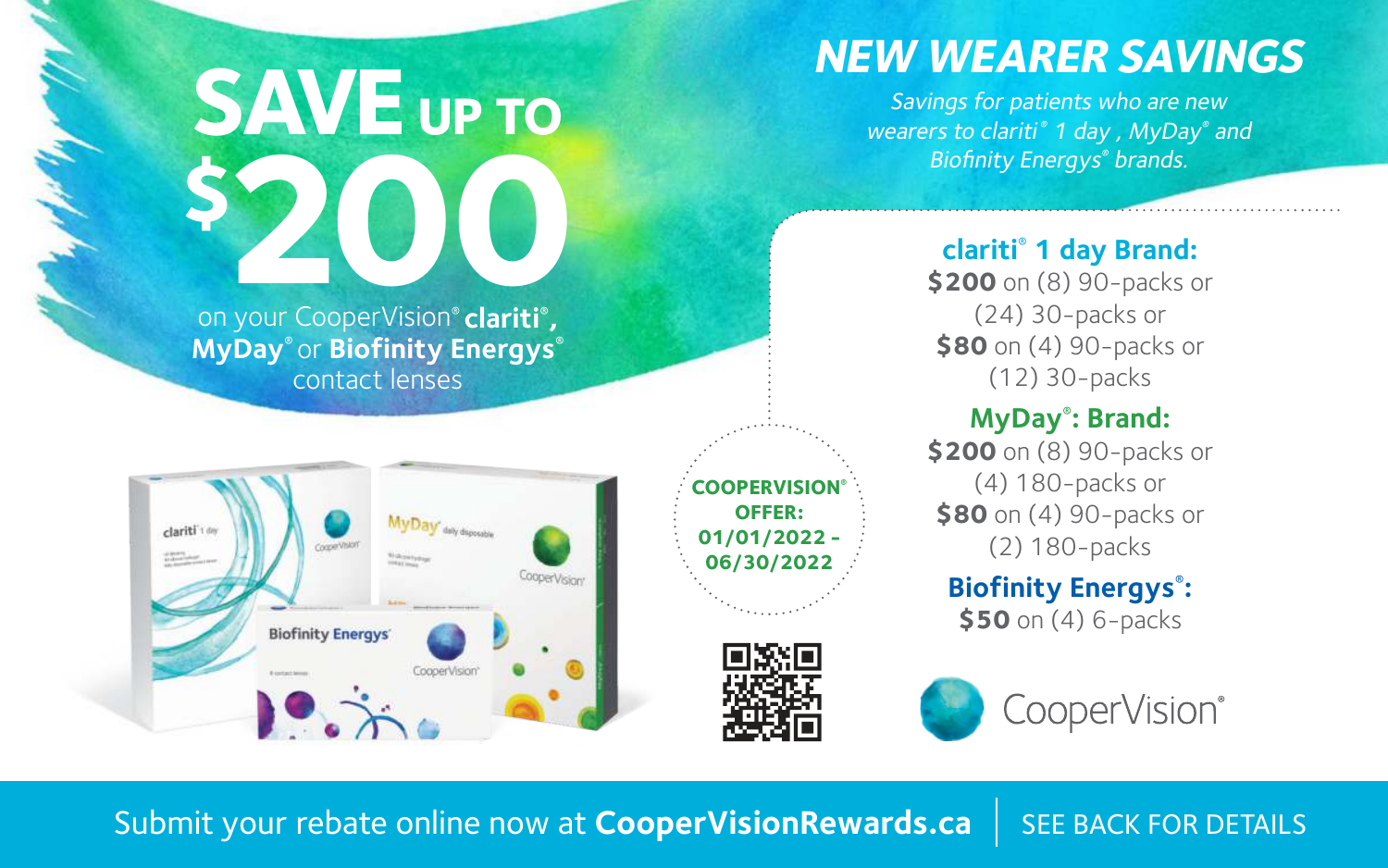

**MyDay**® or **Biofinity Energys**® contact lenses



**COOPERVISION® OFFER: 01/01/2022 - 06/30/2022**



## **clariti**®  **1 day Brand:**

**\$200** on (8) 90-packs or (24) 30-packs or **\$80** on (4) 90-packs or (12) 30-packs

**NEW WEARER SAVINGS** Savings for patients who are new wearers to clariti<sup>®</sup> 1 day, MyDay<sup>®</sup> and Biofinity Energys ® brands.

## **MyDay**® **: Brand:**

**\$200** on (8) 90-packs or (4) 180-packs or **\$80** on (4) 90-packs or (2) 180-packs

## **Biofinity Energys**® **: \$50** on (4) 6-packs

CooperVision®

Submit your rebate online now at **CooperVisionRewards.ca** SEE BACK FOR DETAILS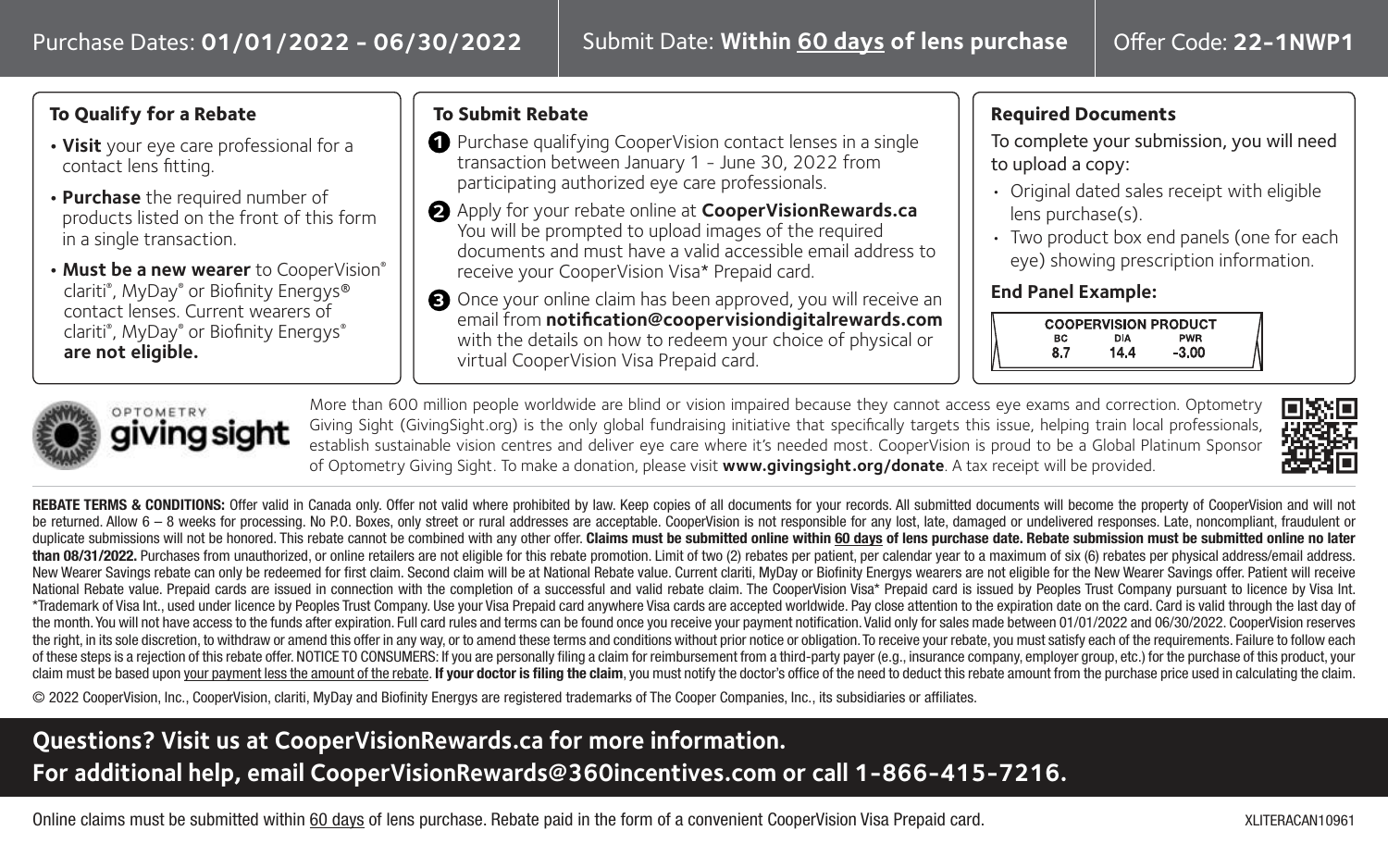## **To Qualify for a Rebate**

- **Visit** your eye care professional for a contact lens fitting.
- **Purchase** the required number of products listed on the front of this form in a single transaction.
- **• Must be a new wearer** to CooperVision® clariti® , MyDay® or Biofinity Energys® contact lenses. Current wearers of clariti® , MyDay® or Biofinity Energys® **are not eligible.**

## **To Submit Rebate**

- **1** Purchase qualifying CooperVision contact lenses in a single transaction between January 1 - June 30, 2022 from participating authorized eye care professionals.
- Apply for your rebate online at **CooperVisionRewards.ca 2** You will be prompted to upload images of the required documents and must have a valid accessible email address to receive your CooperVision Visa\* Prepaid card.
- Once your online claim has been approved, you will receive an **3** email from **notification@coopervisiondigitalrewards.com** with the details on how to redeem your choice of physical or virtual CooperVision Visa Prepaid card.

## **Required Documents**

To complete your submission, you will need to upload a copy:

- Original dated sales receipt with eligible lens purchase(s).
- Two product box end panels (one for each eye) showing prescription information.

#### **End Panel Example:**





More than 600 million people worldwide are blind or vision impaired because they cannot access eye exams and correction. Optometry Giving Sight (GivingSight.org) is the only global fundraising initiative that specifically targets this issue, helping train local professionals, establish sustainable vision centres and deliver eye care where it's needed most. CooperVision is proud to be a Global Platinum Sponsor of Optometry Giving Sight. To make a donation, please visit **www.givingsight.org/donate**. A tax receipt will be provided.



REBATE TERMS & CONDITIONS: Offer valid in Canada only. Offer not valid where prohibited by law. Keep copies of all documents for your records. All submitted documents will become the property of CooperVision and will not be returned. Allow 6 - 8 weeks for processing. No P.O. Boxes, only street or rural addresses are acceptable. CooperVision is not responsible for any lost, late, damaged or undelivered responses. Late, noncompliant, fraudul duplicate submissions will not be honored. This rebate cannot be combined with any other offer. Claims must be submitted online within 60 days of lens purchase date. Rebate submission must be submitted online no later than 08/31/2022. Purchases from unauthorized, or online retailers are not eligible for this rebate promotion. Limit of two (2) rebates per patient, per calendar year to a maximum of six (6) rebates per physical address/ema New Wearer Savings rebate can only be redeemed for first claim. Second claim will be at National Rebate value. Current clariti, MyDay or Biofinity Energys wearers are not eligible for the New Wearer Savings offer. Patient National Rebate value. Prepaid cards are issued in connection with the completion of a successful and valid rebate claim. The CooperVision Visa\* Prepaid card is issued by Peoples Trust Company pursuant to licence by Visa I \*Trademark of Visa Int., used under licence by Peoples Trust Company, Use your Visa Prepaid card anywhere Visa cards are accepted worldwide. Pay close attention to the expiration date on the card, Card is valid through the the month. You will not have access to the funds after expiration. Full card rules and terms can be found once you receive your payment notification. Valid only for sales made between 01/01/2022 and 06/30/2022. CooperVisio the right, in its sole discretion, to withdraw or amend this offer in any way, or to amend these terms and conditions without prior notice or obligation. To receive your rebate, you must satisfy each of the requirements. F of these steps is a rejection of this rebate offer. NOTICE TO CONSUMERS: If you are personally filing a claim for reimbursement from a third-party payer (e.g., insurance company, employer group, etc.) for the purchase of t claim must be based upon your payment less the amount of the rebate. If your doctor is filing the claim, you must notify the doctor's office of the need to deduct this rebate amount from the purchase price used in calculat

© 2022 CooperVision, Inc., CooperVision, clariti, MyDay and Biofinity Energys are registered trademarks of The Cooper Companies, Inc., its subsidiaries or affiliates.

## **Questions? Visit us at CooperVisionRewards.ca for more information. For additional help, email CooperVisionRewards@360incentives.com or call 1-866-415-7216.**

Online claims must be submitted within 60 days of lens purchase. Rebate paid in the form of a convenient CooperVision Visa Prepaid card.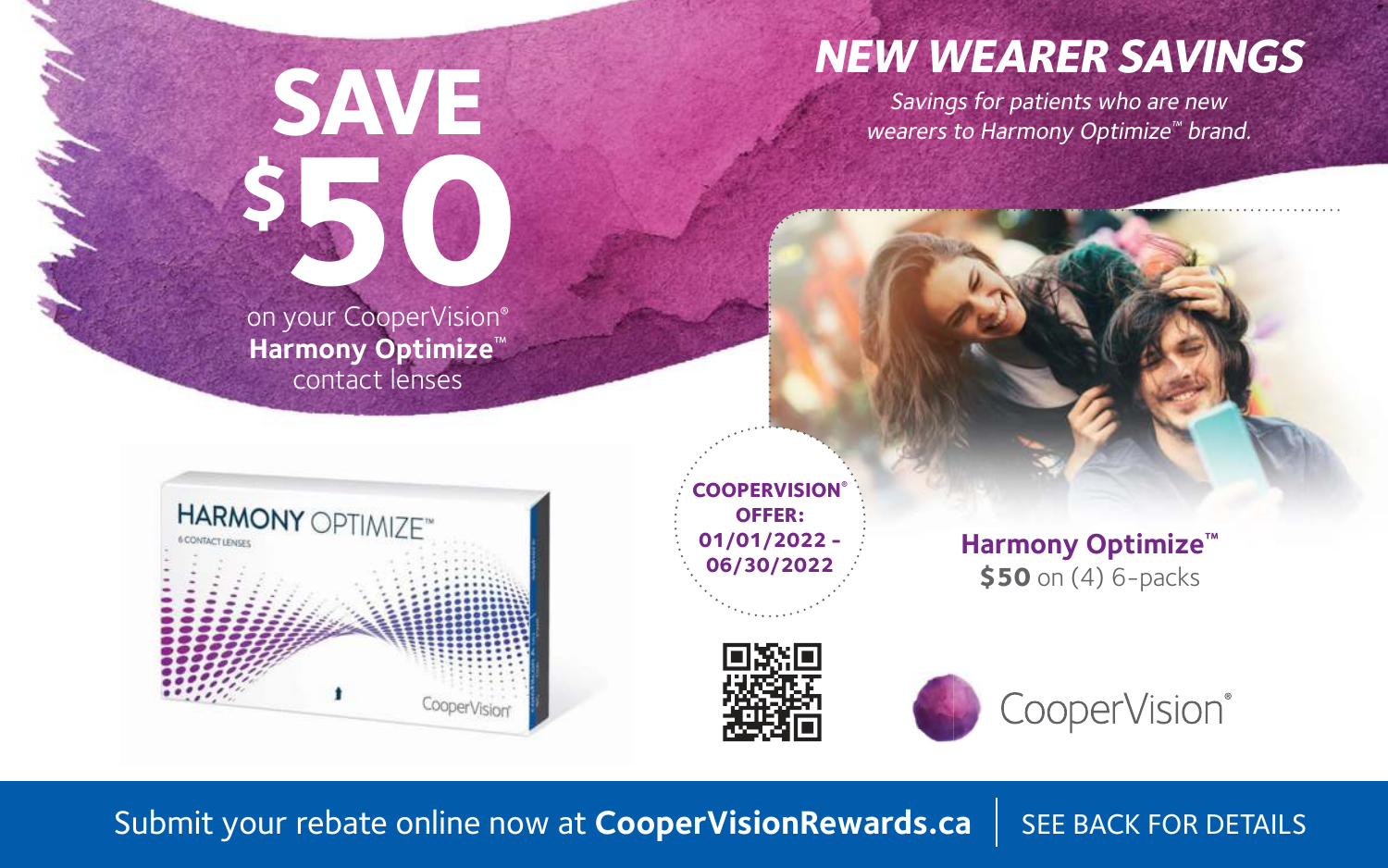## **NEW WEARER SAVINGS**

Savings for patients who are new wearers to Harmony Optimize<sup>™</sup> brand.

**\$50** on your CooperVision® **Harmony Optimize**™ contact lenses

**SAVE**



**COOPERVISION® OFFER: 01/01/2022 - 06/30/2022**

**Harmony Optimize™ \$50** on (4) 6-packs





Submit your rebate online now at **CooperVisionRewards.ca** | SEE BACK FOR DETAILS